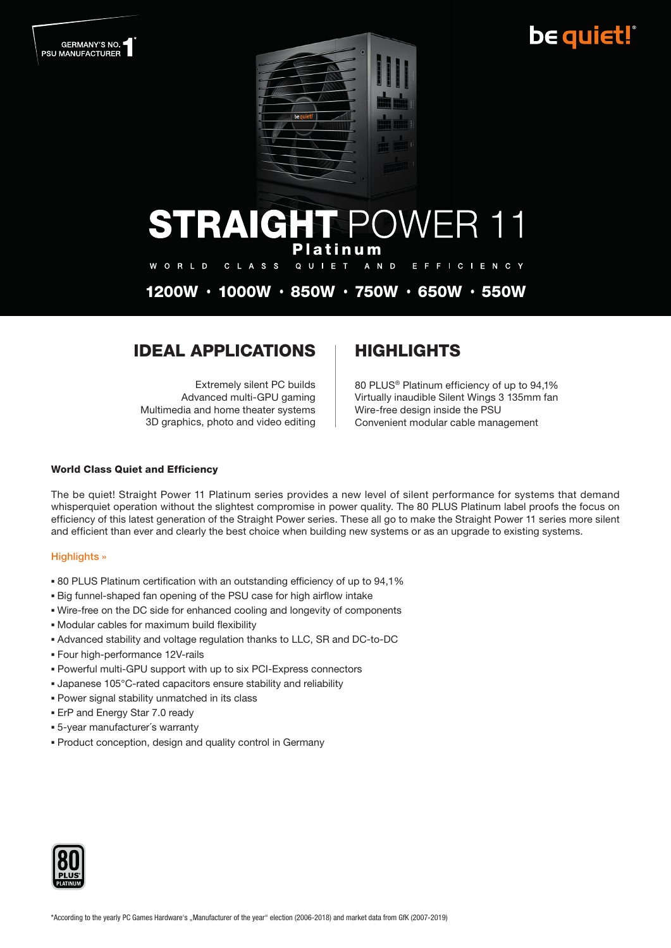## be quiet!



## **STRAIGHT POWER 11** Platinum

W O R L D C L A S S QUIET A N D E F F I C I E N C Y

1200W • 1000W • 850W • 750W • 650W • 550W

### **IDEAL APPLICATIONS | HIGHLIGHTS**

Extremely silent PC builds Advanced multi-GPU gaming Multimedia and home theater systems 3D graphics, photo and video editing

80 PLUS® Platinum efficiency of up to 94,1% Virtually inaudible Silent Wings 3 135mm fan Wire-free design inside the PSU Convenient modular cable management

#### World Class Quiet and Efficiency

The be quiet! Straight Power 11 Platinum series provides a new level of silent performance for systems that demand whisperquiet operation without the slightest compromise in power quality. The 80 PLUS Platinum label proofs the focus on efficiency of this latest generation of the Straight Power series. These all go to make the Straight Power 11 series more silent and efficient than ever and clearly the best choice when building new systems or as an upgrade to existing systems.

#### Highlights »

- 80 PLUS Platinum certification with an outstanding efficiency of up to 94,1%
- Big funnel-shaped fan opening of the PSU case for high airflow intake
- Wire-free on the DC side for enhanced cooling and longevity of components
- Modular cables for maximum build flexibility
- Advanced stability and voltage regulation thanks to LLC, SR and DC-to-DC
- Four high-performance 12V-rails
- Powerful multi-GPU support with up to six PCI-Express connectors
- Japanese 105°C-rated capacitors ensure stability and reliability
- Power signal stability unmatched in its class
- **ErP and Energy Star 7.0 ready**
- 5-year manufacturer´s warranty
- Product conception, design and quality control in Germany

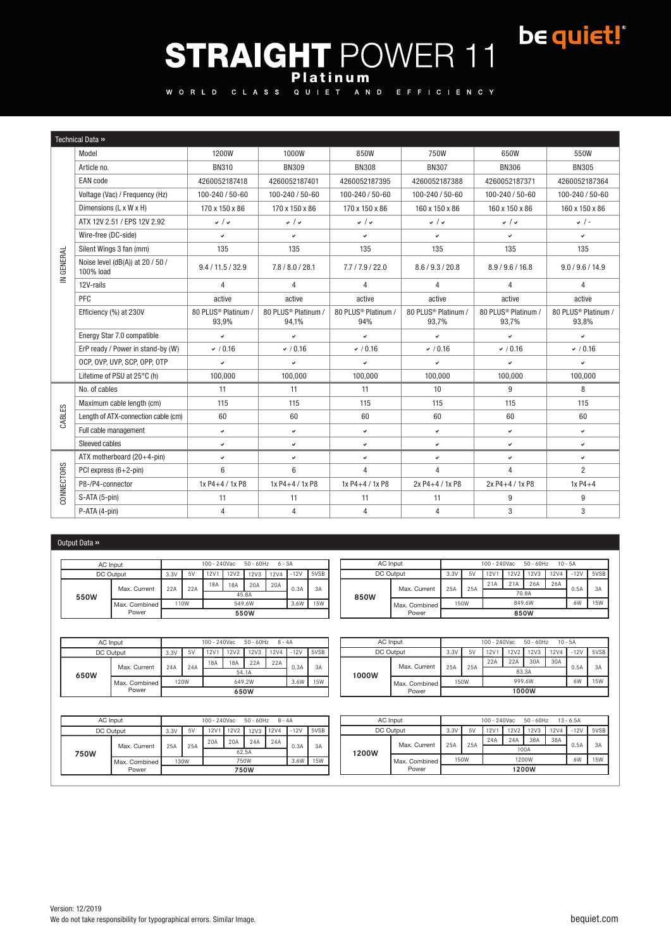# be quiet!® STRAIGHT POWER 11

WORLD CLASS

|            | Technical Data »                              |                              |                              |                                        |                                          |                              |                              |
|------------|-----------------------------------------------|------------------------------|------------------------------|----------------------------------------|------------------------------------------|------------------------------|------------------------------|
|            | Model                                         | 1200W                        | 1000W                        | 850W                                   | 750W                                     | 650W                         | 550W                         |
|            | Article no.                                   | <b>BN310</b>                 | <b>BN309</b>                 | <b>BN308</b>                           | <b>BN307</b>                             | <b>BN306</b>                 | <b>BN305</b>                 |
|            | <b>EAN</b> code                               | 4260052187418                | 4260052187401                | 4260052187395                          | 4260052187388                            | 4260052187371                | 4260052187364                |
|            | Voltage (Vac) / Frequency (Hz)                | 100-240 / 50-60              | 100-240 / 50-60              | 100-240 / 50-60                        | 100-240 / 50-60                          | 100-240 / 50-60              | 100-240 / 50-60              |
|            | Dimensions (L x W x H)                        | 170 x 150 x 86               | 170 x 150 x 86               | 170 x 150 x 86                         | 160 x 150 x 86                           | 160 x 150 x 86               | 160 x 150 x 86               |
|            | ATX 12V 2.51 / EPS 12V 2.92                   | $\sqrt{2}$                   | $\sqrt{2}$                   | $\sqrt{2}$                             | $\sqrt{2}$                               | $\sqrt{2}$                   | $\sqrt{2}$                   |
|            | Wire-free (DC-side)                           | v                            | v                            | $\checkmark$                           | v                                        | v                            | ✓                            |
|            | Silent Wings 3 fan (mm)                       | 135                          | 135                          | 135                                    | 135                                      | 135                          | 135                          |
| IN GENERAL | Noise level (dB(A)) at 20 / 50 /<br>100% load | 9.4 / 11.5 / 32.9            | 7.8 / 8.0 / 28.1             | 7.7/7.9/22.0                           | 8.6 / 9.3 / 20.8                         | 8.9/9.6/16.8                 | 9.0 / 9.6 / 14.9             |
|            | 12V-rails                                     | $\overline{4}$               | $\overline{4}$               | $\overline{4}$                         | 4                                        | $\overline{4}$               | 4                            |
|            | PFC                                           | active                       | active                       | active                                 | active                                   | active                       | active                       |
|            | Efficiency (%) at 230V                        | 80 PLUS® Platinum /<br>93,9% | 80 PLUS® Platinum /<br>94,1% | 80 PLUS <sup>®</sup> Platinum /<br>94% | 80 PLUS <sup>®</sup> Platinum /<br>93,7% | 80 PLUS® Platinum /<br>93,7% | 80 PLUS® Platinum /<br>93,8% |
|            | Energy Star 7.0 compatible                    | V                            | v                            | v                                      | $\checkmark$                             | v                            | ◡                            |
|            | ErP ready / Power in stand-by (W)             | (0.16)                       | $\times$ / 0.16              | $\times$ / 0.16                        | $\times$ / 0.16                          | $\times$ / 0.16              | $\times$ / 0.16              |
|            | OCP, OVP, UVP, SCP, OPP, OTP                  | $\checkmark$                 | $\checkmark$                 | v                                      | $\checkmark$                             | $\checkmark$                 | v                            |
|            | Lifetime of PSU at 25°C (h)                   | 100,000                      | 100,000                      | 100,000                                | 100,000                                  | 100,000                      | 100,000                      |
|            | No. of cables                                 | 11                           | 11                           | 11                                     | 10                                       | 9                            | 8                            |
|            | Maximum cable length (cm)                     | 115                          | 115                          | 115                                    | 115                                      | 115                          | 115                          |
| CABLES     | Length of ATX-connection cable (cm)           | 60                           | 60                           | 60                                     | 60                                       | 60                           | 60                           |
|            | Full cable management                         | $\checkmark$                 | v                            | $\checkmark$                           | $\checkmark$                             | v                            | v                            |
|            | Sleeved cables                                | v                            | $\checkmark$                 | $\checkmark$                           | $\checkmark$                             | v                            | ◡                            |
|            | ATX motherboard (20+4-pin)                    | $\checkmark$                 | v                            | $\checkmark$                           | $\checkmark$                             | $\checkmark$                 | v                            |
|            | PCI express (6+2-pin)                         | 6                            | 6                            | 4                                      | 4                                        | 4                            | $\overline{2}$               |
| CONNECTORS | P8-/P4-connector                              | 1x P4+4 / 1x P8              | 1x P4+4 / 1x P8              | 1x P4+4 / 1x P8                        | 2x P4+4 / 1x P8                          | 2x P4+4 / 1x P8              | $1xP4+4$                     |
|            | S-ATA (5-pin)                                 | 11                           | 11                           | 11                                     | 11                                       | 9                            | 9                            |
|            | P-ATA (4-pin)                                 | 4                            | $\overline{4}$               | $\overline{4}$                         | $\overline{4}$                           | 3                            | 3                            |

#### Output Data »

| AC Input  |                   | 100 - 240Vac<br>$50 - 60$ Hz $6 - 3A$ |     |       |      |             |             |        |               | AC Input  | 100 - 240Vac<br>$50 - 60$ Hz<br>10 - 5A |        |       |     |      |      |             |      |             |
|-----------|-------------------|---------------------------------------|-----|-------|------|-------------|-------------|--------|---------------|-----------|-----------------------------------------|--------|-------|-----|------|------|-------------|------|-------------|
| DC Output |                   | 3.3V                                  | 5V  | 12V1  | 12V2 | <b>12V3</b> | <b>12V4</b> | $-12V$ | 5VSB          | DC Output |                                         | 3.3V   | 5V    | 12V | 12V2 | 12V3 | <b>12V4</b> |      | $-12V$ 5VSB |
|           | Max. Current      | 22A                                   | 22A | 18A   | 18A  | 20A         | 20A         | 0.3A   | 3A            |           | Max. Current                            | 25A    | 25A   | 21A | 21A  | 26A  | 26A         | 0.5A | 3A          |
| 550W      |                   |                                       |     | 45.8A |      |             |             |        | 850W          |           |                                         |        | 70.8A |     |      |      |             |      |             |
|           | l Max. Combined l | 110W<br>549.6W                        |     |       |      | 3.6W        | <b>15W</b>  |        | Max, Combined |           | 150W                                    | 849.6W |       |     |      | 6W   | <b>15W</b>  |      |             |
|           | Power             | 550W                                  |     |       |      |             |             |        | Power         | 850W      |                                         |        |       |     |      |      |             |      |             |

|      | AC Input      | 100 - 240Vac<br>$50 - 60$ Hz<br>$8 - 4A$ |      |      |       |        |             |        |      |  |  |  |  |
|------|---------------|------------------------------------------|------|------|-------|--------|-------------|--------|------|--|--|--|--|
|      | DC Output     | 3.3V                                     | 5V   | 12V1 | 12V2  | 12V3   | <b>12V4</b> | $-12V$ | 5VSB |  |  |  |  |
|      | Max. Current  | 24A                                      | 24A  | 18A  | 18A   | 22A    | 22A         | 0.3A   | 3A   |  |  |  |  |
| 650W |               |                                          |      |      | 54.1A |        |             |        |      |  |  |  |  |
|      | Max. Combined |                                          | 120W |      |       | 649.2W |             | 3.6W   | 15W  |  |  |  |  |
|      | Power         | 650W                                     |      |      |       |        |             |        |      |  |  |  |  |

| AC Input  |               | $100 - 240$ Vac<br>$50 - 60$ Hz<br>$10 - 5A$ |      |     |        |     |      |      |  |  |  |  |  |
|-----------|---------------|----------------------------------------------|------|-----|--------|-----|------|------|--|--|--|--|--|
| DC Output | 3.3V          | 12V2<br>12V3<br>12V4<br>12V1<br>5V           |      |     |        |     |      | 5VSB |  |  |  |  |  |
| 1000W     |               | 25A                                          |      | 22A | 22A    | 30A | 30A  |      |  |  |  |  |  |
|           | Max. Current  |                                              | 25A  |     | 83.3A  |     | 0.5A | 3A   |  |  |  |  |  |
|           | Max. Combined |                                              | 150W |     | 999.6W |     | 6W   | 15W  |  |  |  |  |  |
|           | Power         | 1000W                                        |      |     |        |     |      |      |  |  |  |  |  |

Power 750W

| AC Input  | 50 - 60Hz 8 - 4A<br>100 - 240Vac |      |     |              |      |           |      |            | AC Input | 100 - 240Vac<br>50 - 60Hz 13 - 6.5A |              |      |       |      |      |      |             |        |      |
|-----------|----------------------------------|------|-----|--------------|------|-----------|------|------------|----------|-------------------------------------|--------------|------|-------|------|------|------|-------------|--------|------|
| DC Output |                                  | 3.3V | 5V  | 12V1         | 12V2 | 12V3 12V4 |      | $-12V$     | 5VSB     | DC Output                           |              | 3.3V | 5V    | 12V1 | 12V2 | 12V3 | <b>12V4</b> | $-12V$ | 5VSB |
|           | Max. Current                     |      | 25A | 20A          | 20A  | 24A       | 24A  |            |          |                                     | Max. Current | 25A  | 25A   | 24A  | 24A  | 38A  | 38A         | 0.5A   | 3A   |
| 750W      |                                  | 25A  |     | 62.5A        |      |           | 0.3A | 3A         | 1200W    |                                     |              |      | 100A  |      |      |      |             |        |      |
|           | Max. Combined                    | 130W |     | 3.6W<br>750W |      |           |      | <b>15W</b> |          | Max. Combined I                     |              | 150W | 1200W |      |      |      | 6W          | 15W    |      |
|           | Power                            | 750W |     |              |      |           |      |            | Power    | 1200W                               |              |      |       |      |      |      |             |        |      |